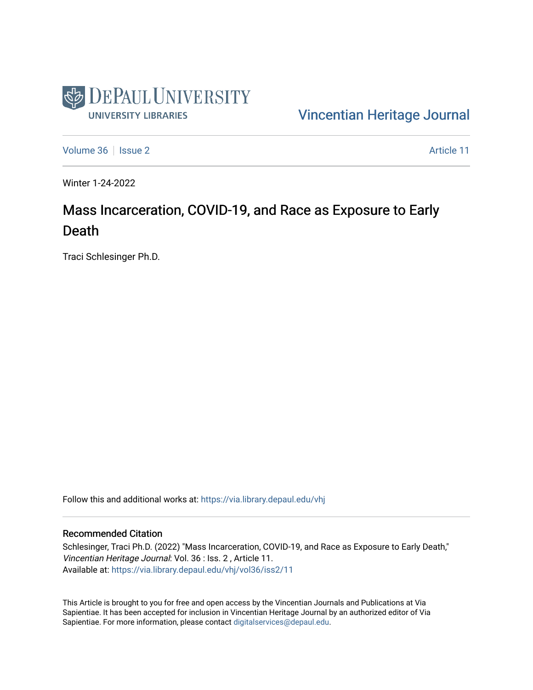

#### [Vincentian Heritage Journal](https://via.library.depaul.edu/vhj)

[Volume 36](https://via.library.depaul.edu/vhj/vol36) | [Issue 2](https://via.library.depaul.edu/vhj/vol36/iss2) Article 11

Winter 1-24-2022

## Mass Incarceration, COVID-19, and Race as Exposure to Early Death

Traci Schlesinger Ph.D.

Follow this and additional works at: [https://via.library.depaul.edu/vhj](https://via.library.depaul.edu/vhj?utm_source=via.library.depaul.edu%2Fvhj%2Fvol36%2Fiss2%2F11&utm_medium=PDF&utm_campaign=PDFCoverPages) 

#### Recommended Citation

Schlesinger, Traci Ph.D. (2022) "Mass Incarceration, COVID-19, and Race as Exposure to Early Death," Vincentian Heritage Journal: Vol. 36 : Iss. 2 , Article 11. Available at: [https://via.library.depaul.edu/vhj/vol36/iss2/11](https://via.library.depaul.edu/vhj/vol36/iss2/11?utm_source=via.library.depaul.edu%2Fvhj%2Fvol36%2Fiss2%2F11&utm_medium=PDF&utm_campaign=PDFCoverPages)

This Article is brought to you for free and open access by the Vincentian Journals and Publications at Via Sapientiae. It has been accepted for inclusion in Vincentian Heritage Journal by an authorized editor of Via Sapientiae. For more information, please contact [digitalservices@depaul.edu](mailto:digitalservices@depaul.edu).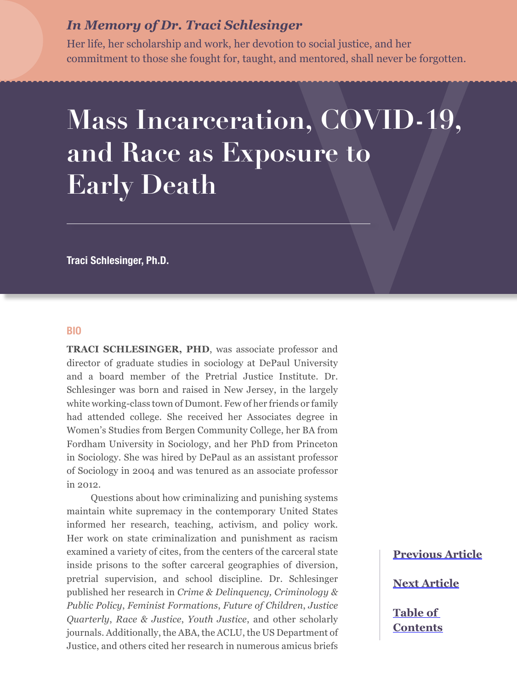## *In Memory of Dr. Traci Schlesinger*

Her life, her scholarship and work, her devotion to social justice, and her commitment to those she fought for, taught, and mentored, shall never be forgotten.

# **Mass Incarceration, COVID-19, and Race as Exposure to Early Death**

**Traci Schlesinger, Ph.D.**

#### **BIO**

**TRACI SCHLESINGER, PHD**, was associate professor and director of graduate studies in sociology at DePaul University and a board member of the Pretrial Justice Institute. Dr. Schlesinger was born and raised in New Jersey, in the largely white working-class town of Dumont. Few of her friends or family had attended college. She received her Associates degree in Women's Studies from Bergen Community College, her BA from Fordham University in Sociology, and her PhD from Princeton in Sociology. She was hired by DePaul as an assistant professor of Sociology in 2004 and was tenured as an associate professor in 2012.

Questions about how criminalizing and punishing systems maintain white supremacy in the contemporary United States informed her research, teaching, activism, and policy work. Her work on state criminalization and punishment as racism examined a variety of cites, from the centers of the carceral state inside prisons to the softer carceral geographies of diversion, pretrial supervision, and school discipline. Dr. Schlesinger published her research in *Crime & Delinquency, Criminology & Public Policy*, *Feminist Formations*, *Future of Children*, *Justice Quarterly*, *Race & Justice*, *Youth Justice*, and other scholarly journals. Additionally, the ABA, the ACLU, the US Department of Justice, and others cited her research in numerous amicus briefs

## **[Previous Article](#page--1-0)**

**[Next Article](#page--1-0)**

**[Table of](#page--1-0)  [Contents](#page--1-0)**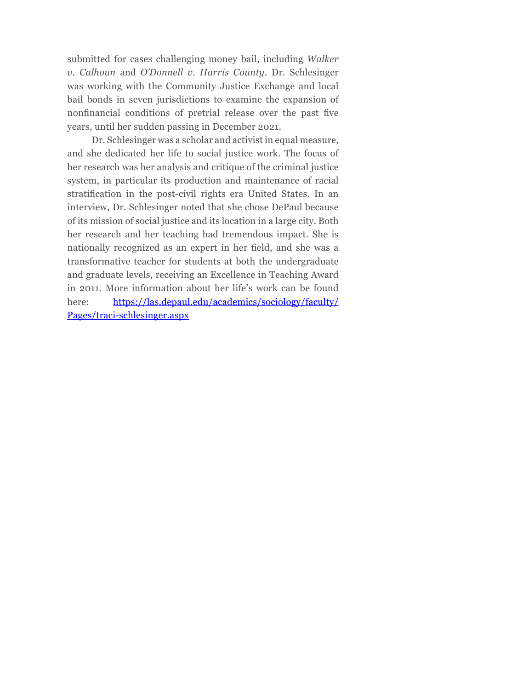submitted for cases challenging money bail, including *Walker v. Calhoun* and *O'Donnell v. Harris County*. Dr. Schlesinger was working with the Community Justice Exchange and local bail bonds in seven jurisdictions to examine the expansion of nonfinancial conditions of pretrial release over the past five years, until her sudden passing in December 2021.

Dr. Schlesinger was a scholar and activist in equal measure, and she dedicated her life to social justice work. The focus of her research was her analysis and critique of the criminal justice system, in particular its production and maintenance of racial stratification in the post-civil rights era United States. In an interview, Dr. Schlesinger noted that she chose DePaul because of its mission of social justice and its location in a large city. Both her research and her teaching had tremendous impact. She is nationally recognized as an expert in her field, and she was a transformative teacher for students at both the undergraduate and graduate levels, receiving an Excellence in Teaching Award in 2011. More information about her life's work can be found here: [https://las.depaul.edu/academics/sociology/faculty/](https://las.depaul.edu/academics/sociology/faculty/Pages/traci-schlesinger.aspx) [Pages/traci-schlesinger.aspx](https://las.depaul.edu/academics/sociology/faculty/Pages/traci-schlesinger.aspx)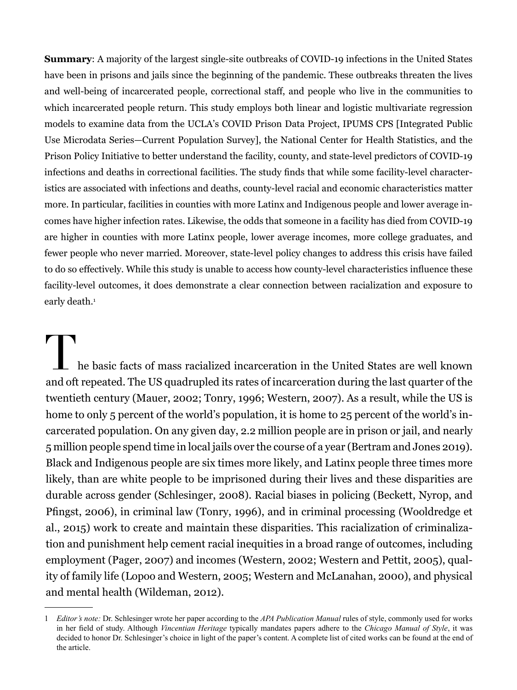**Summary**: A majority of the largest single-site outbreaks of COVID-19 infections in the United States have been in prisons and jails since the beginning of the pandemic. These outbreaks threaten the lives and well-being of incarcerated people, correctional staff, and people who live in the communities to which incarcerated people return. This study employs both linear and logistic multivariate regression models to examine data from the UCLA's COVID Prison Data Project, IPUMS CPS [Integrated Public Use Microdata Series—Current Population Survey], the National Center for Health Statistics, and the Prison Policy Initiative to better understand the facility, county, and state-level predictors of COVID-19 infections and deaths in correctional facilities. The study finds that while some facility-level characteristics are associated with infections and deaths, county-level racial and economic characteristics matter more. In particular, facilities in counties with more Latinx and Indigenous people and lower average incomes have higher infection rates. Likewise, the odds that someone in a facility has died from COVID-19 are higher in counties with more Latinx people, lower average incomes, more college graduates, and fewer people who never married. Moreover, state-level policy changes to address this crisis have failed to do so effectively. While this study is unable to access how county-level characteristics influence these facility-level outcomes, it does demonstrate a clear connection between racialization and exposure to early death.<sup>1</sup>

The basic facts of mass racialized incarceration in the United States are well known and oft repeated. The US quadrupled its rates of incarceration during the last quarter of the twentieth century (Mauer, 2002; Tonry, 1996; Western, 2007). As a result, while the US is home to only 5 percent of the world's population, it is home to 25 percent of the world's incarcerated population. On any given day, 2.2 million people are in prison or jail, and nearly 5 million people spend time in local jails over the course of a year (Bertram and Jones 2019). Black and Indigenous people are six times more likely, and Latinx people three times more likely, than are white people to be imprisoned during their lives and these disparities are durable across gender (Schlesinger, 2008). Racial biases in policing (Beckett, Nyrop, and Pfingst, 2006), in criminal law (Tonry, 1996), and in criminal processing (Wooldredge et al., 2015) work to create and maintain these disparities. This racialization of criminalization and punishment help cement racial inequities in a broad range of outcomes, including employment (Pager, 2007) and incomes (Western, 2002; Western and Pettit, 2005), quality of family life (Lopoo and Western, 2005; Western and McLanahan, 2000), and physical and mental health (Wildeman, 2012).

<sup>1</sup> *Editor's note:* Dr. Schlesinger wrote her paper according to the *APA Publication Manual* rules of style, commonly used for works in her field of study. Although *Vincentian Heritage* typically mandates papers adhere to the *Chicago Manual of Style*, it was decided to honor Dr. Schlesinger's choice in light of the paper's content. A complete list of cited works can be found at the end of the article.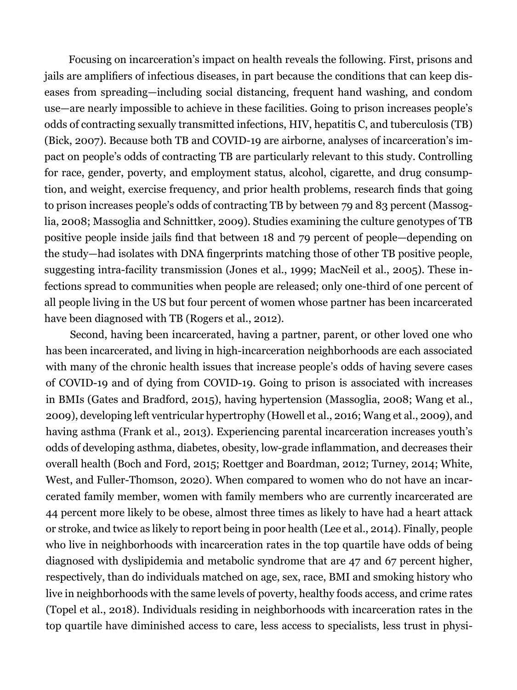Focusing on incarceration's impact on health reveals the following. First, prisons and jails are amplifiers of infectious diseases, in part because the conditions that can keep diseases from spreading—including social distancing, frequent hand washing, and condom use—are nearly impossible to achieve in these facilities. Going to prison increases people's odds of contracting sexually transmitted infections, HIV, hepatitis C, and tuberculosis (TB) (Bick, 2007). Because both TB and COVID-19 are airborne, analyses of incarceration's impact on people's odds of contracting TB are particularly relevant to this study. Controlling for race, gender, poverty, and employment status, alcohol, cigarette, and drug consumption, and weight, exercise frequency, and prior health problems, research finds that going to prison increases people's odds of contracting TB by between 79 and 83 percent (Massoglia, 2008; Massoglia and Schnittker, 2009). Studies examining the culture genotypes of TB positive people inside jails find that between 18 and 79 percent of people—depending on the study—had isolates with DNA fingerprints matching those of other TB positive people, suggesting intra-facility transmission (Jones et al., 1999; MacNeil et al., 2005). These infections spread to communities when people are released; only one-third of one percent of all people living in the US but four percent of women whose partner has been incarcerated have been diagnosed with TB (Rogers et al., 2012).

Second, having been incarcerated, having a partner, parent, or other loved one who has been incarcerated, and living in high-incarceration neighborhoods are each associated with many of the chronic health issues that increase people's odds of having severe cases of COVID-19 and of dying from COVID-19. Going to prison is associated with increases in BMIs (Gates and Bradford, 2015), having hypertension (Massoglia, 2008; Wang et al., 2009), developing left ventricular hypertrophy (Howell et al., 2016; Wang et al., 2009), and having asthma (Frank et al., 2013). Experiencing parental incarceration increases youth's odds of developing asthma, diabetes, obesity, low-grade inflammation, and decreases their overall health (Boch and Ford, 2015; Roettger and Boardman, 2012; Turney, 2014; White, West, and Fuller-Thomson, 2020). When compared to women who do not have an incarcerated family member, women with family members who are currently incarcerated are 44 percent more likely to be obese, almost three times as likely to have had a heart attack or stroke, and twice as likely to report being in poor health (Lee et al., 2014). Finally, people who live in neighborhoods with incarceration rates in the top quartile have odds of being diagnosed with dyslipidemia and metabolic syndrome that are 47 and 67 percent higher, respectively, than do individuals matched on age, sex, race, BMI and smoking history who live in neighborhoods with the same levels of poverty, healthy foods access, and crime rates (Topel et al., 2018). Individuals residing in neighborhoods with incarceration rates in the top quartile have diminished access to care, less access to specialists, less trust in physi-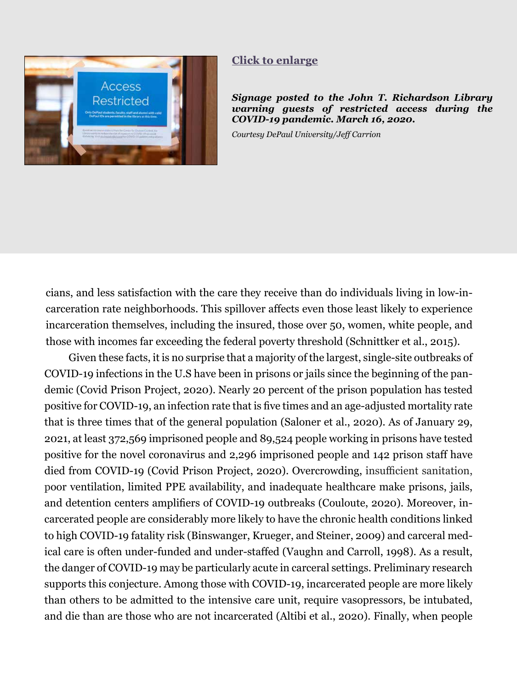<span id="page-5-0"></span>

#### **[Click to enlarge](#page-23-0)**

*Signage posted to the John T. Richardson Library warning guests of restricted access during the COVID-19 pandemic. March 16, 2020.*

*Courtesy DePaul University/Jeff Carrion*

cians, and less satisfaction with the care they receive than do individuals living in low-incarceration rate neighborhoods. This spillover affects even those least likely to experience incarceration themselves, including the insured, those over 50, women, white people, and those with incomes far exceeding the federal poverty threshold (Schnittker et al., 2015).

Given these facts, it is no surprise that a majority of the largest, single-site outbreaks of COVID-19 infections in the U.S have been in prisons or jails since the beginning of the pandemic (Covid Prison Project, 2020). Nearly 20 percent of the prison population has tested positive for COVID-19, an infection rate that is five times and an age-adjusted mortality rate that is three times that of the general population (Saloner et al., 2020). As of January 29, 2021, at least 372,569 imprisoned people and 89,524 people working in prisons have tested positive for the novel coronavirus and 2,296 imprisoned people and 142 prison staff have died from COVID-19 (Covid Prison Project, 2020). Overcrowding, insufficient sanitation, poor ventilation, limited PPE availability, and inadequate healthcare make prisons, jails, and detention centers amplifiers of COVID-19 outbreaks (Couloute, 2020). Moreover, incarcerated people are considerably more likely to have the chronic health conditions linked to high COVID-19 fatality risk (Binswanger, Krueger, and Steiner, 2009) and carceral medical care is often under-funded and under-staffed (Vaughn and Carroll, 1998). As a result, the danger of COVID-19 may be particularly acute in carceral settings. Preliminary research supports this conjecture. Among those with COVID-19, incarcerated people are more likely than others to be admitted to the intensive care unit, require vasopressors, be intubated, and die than are those who are not incarcerated (Altibi et al., 2020). Finally, when people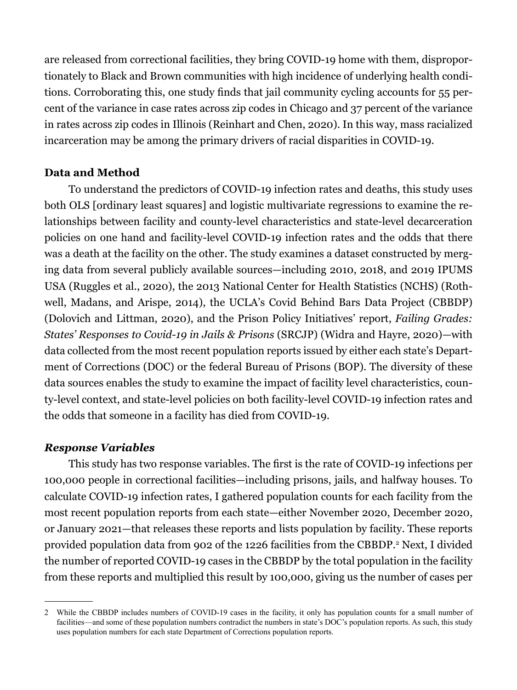are released from correctional facilities, they bring COVID-19 home with them, disproportionately to Black and Brown communities with high incidence of underlying health conditions. Corroborating this, one study finds that jail community cycling accounts for 55 percent of the variance in case rates across zip codes in Chicago and 37 percent of the variance in rates across zip codes in Illinois (Reinhart and Chen, 2020). In this way, mass racialized incarceration may be among the primary drivers of racial disparities in COVID-19.

### **Data and Method**

To understand the predictors of COVID-19 infection rates and deaths, this study uses both OLS [ordinary least squares] and logistic multivariate regressions to examine the relationships between facility and county-level characteristics and state-level decarceration policies on one hand and facility-level COVID-19 infection rates and the odds that there was a death at the facility on the other. The study examines a dataset constructed by merging data from several publicly available sources—including 2010, 2018, and 2019 IPUMS USA (Ruggles et al., 2020), the 2013 National Center for Health Statistics (NCHS) (Rothwell, Madans, and Arispe, 2014), the UCLA's Covid Behind Bars Data Project (CBBDP) (Dolovich and Littman, 2020), and the Prison Policy Initiatives' report, *Failing Grades: States' Responses to Covid-19 in Jails & Prisons* (SRCJP) (Widra and Hayre, 2020)—with data collected from the most recent population reports issued by either each state's Department of Corrections (DOC) or the federal Bureau of Prisons (BOP). The diversity of these data sources enables the study to examine the impact of facility level characteristics, county-level context, and state-level policies on both facility-level COVID-19 infection rates and the odds that someone in a facility has died from COVID-19.

### *Response Variables*

This study has two response variables. The first is the rate of COVID-19 infections per 100,000 people in correctional facilities—including prisons, jails, and halfway houses. To calculate COVID-19 infection rates, I gathered population counts for each facility from the most recent population reports from each state—either November 2020, December 2020, or January 2021—that releases these reports and lists population by facility. These reports provided population data from 902 of the 1226 facilities from the CBBDP.<sup>2</sup> Next, I divided the number of reported COVID-19 cases in the CBBDP by the total population in the facility from these reports and multiplied this result by 100,000, giving us the number of cases per

<sup>2</sup> While the CBBDP includes numbers of COVID-19 cases in the facility, it only has population counts for a small number of facilities—and some of these population numbers contradict the numbers in state's DOC's population reports. As such, this study uses population numbers for each state Department of Corrections population reports.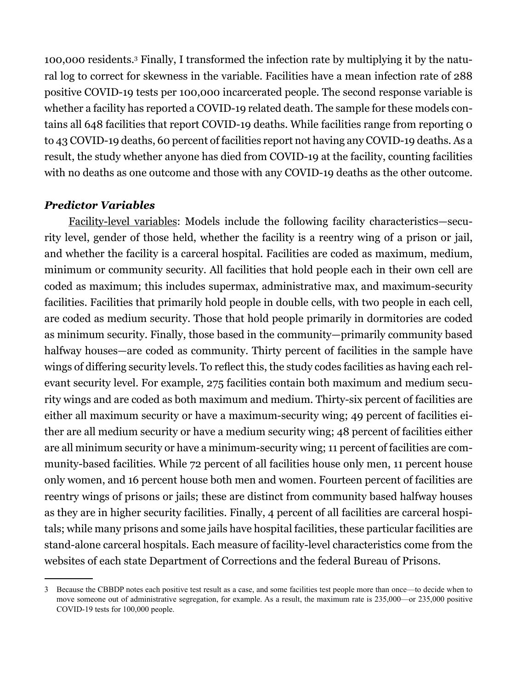100,000 residents.3 Finally, I transformed the infection rate by multiplying it by the natural log to correct for skewness in the variable. Facilities have a mean infection rate of 288 positive COVID-19 tests per 100,000 incarcerated people. The second response variable is whether a facility has reported a COVID-19 related death. The sample for these models contains all 648 facilities that report COVID-19 deaths. While facilities range from reporting 0 to 43 COVID-19 deaths, 60 percent of facilities report not having any COVID-19 deaths. As a result, the study whether anyone has died from COVID-19 at the facility, counting facilities with no deaths as one outcome and those with any COVID-19 deaths as the other outcome.

## *Predictor Variables*

Facility-level variables: Models include the following facility characteristics—security level, gender of those held, whether the facility is a reentry wing of a prison or jail, and whether the facility is a carceral hospital. Facilities are coded as maximum, medium, minimum or community security. All facilities that hold people each in their own cell are coded as maximum; this includes supermax, administrative max, and maximum-security facilities. Facilities that primarily hold people in double cells, with two people in each cell, are coded as medium security. Those that hold people primarily in dormitories are coded as minimum security. Finally, those based in the community—primarily community based halfway houses—are coded as community. Thirty percent of facilities in the sample have wings of differing security levels. To reflect this, the study codes facilities as having each relevant security level. For example, 275 facilities contain both maximum and medium security wings and are coded as both maximum and medium. Thirty-six percent of facilities are either all maximum security or have a maximum-security wing; 49 percent of facilities either are all medium security or have a medium security wing; 48 percent of facilities either are all minimum security or have a minimum-security wing; 11 percent of facilities are community-based facilities. While 72 percent of all facilities house only men, 11 percent house only women, and 16 percent house both men and women. Fourteen percent of facilities are reentry wings of prisons or jails; these are distinct from community based halfway houses as they are in higher security facilities. Finally, 4 percent of all facilities are carceral hospitals; while many prisons and some jails have hospital facilities, these particular facilities are stand-alone carceral hospitals. Each measure of facility-level characteristics come from the websites of each state Department of Corrections and the federal Bureau of Prisons.

<sup>3</sup> Because the CBBDP notes each positive test result as a case, and some facilities test people more than once—to decide when to move someone out of administrative segregation, for example. As a result, the maximum rate is 235,000—or 235,000 positive COVID-19 tests for 100,000 people.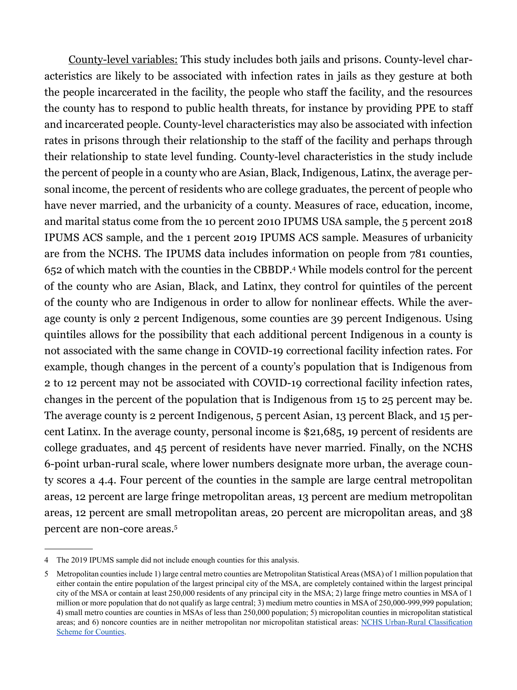County-level variables: This study includes both jails and prisons. County-level characteristics are likely to be associated with infection rates in jails as they gesture at both the people incarcerated in the facility, the people who staff the facility, and the resources the county has to respond to public health threats, for instance by providing PPE to staff and incarcerated people. County-level characteristics may also be associated with infection rates in prisons through their relationship to the staff of the facility and perhaps through their relationship to state level funding. County-level characteristics in the study include the percent of people in a county who are Asian, Black, Indigenous, Latinx, the average personal income, the percent of residents who are college graduates, the percent of people who have never married, and the urbanicity of a county. Measures of race, education, income, and marital status come from the 10 percent 2010 IPUMS USA sample, the 5 percent 2018 IPUMS ACS sample, and the 1 percent 2019 IPUMS ACS sample. Measures of urbanicity are from the NCHS. The IPUMS data includes information on people from 781 counties, 652 of which match with the counties in the CBBDP.4 While models control for the percent of the county who are Asian, Black, and Latinx, they control for quintiles of the percent of the county who are Indigenous in order to allow for nonlinear effects. While the average county is only 2 percent Indigenous, some counties are 39 percent Indigenous. Using quintiles allows for the possibility that each additional percent Indigenous in a county is not associated with the same change in COVID-19 correctional facility infection rates. For example, though changes in the percent of a county's population that is Indigenous from 2 to 12 percent may not be associated with COVID-19 correctional facility infection rates, changes in the percent of the population that is Indigenous from 15 to 25 percent may be. The average county is 2 percent Indigenous, 5 percent Asian, 13 percent Black, and 15 percent Latinx. In the average county, personal income is \$21,685, 19 percent of residents are college graduates, and 45 percent of residents have never married. Finally, on the NCHS 6-point urban-rural scale, where lower numbers designate more urban, the average county scores a 4.4. Four percent of the counties in the sample are large central metropolitan areas, 12 percent are large fringe metropolitan areas, 13 percent are medium metropolitan areas, 12 percent are small metropolitan areas, 20 percent are micropolitan areas, and 38 percent are non-core areas.5

<sup>4</sup> The 2019 IPUMS sample did not include enough counties for this analysis.

<sup>5</sup> Metropolitan counties include 1) large central metro counties are Metropolitan Statistical Areas (MSA) of 1 million population that either contain the entire population of the largest principal city of the MSA, are completely contained within the largest principal city of the MSA or contain at least 250,000 residents of any principal city in the MSA; 2) large fringe metro counties in MSA of 1 million or more population that do not qualify as large central; 3) medium metro counties in MSA of 250,000-999,999 population; 4) small metro counties are counties in MSAs of less than 250,000 population; 5) micropolitan counties in micropolitan statistical areas; and 6) noncore counties are in neither metropolitan nor micropolitan statistical areas: NCHS Urban-Rural [Classification](https://www.cdc.gov/nchs/data_access/urban_rural.htm) [Scheme for Counties.](https://www.cdc.gov/nchs/data_access/urban_rural.htm)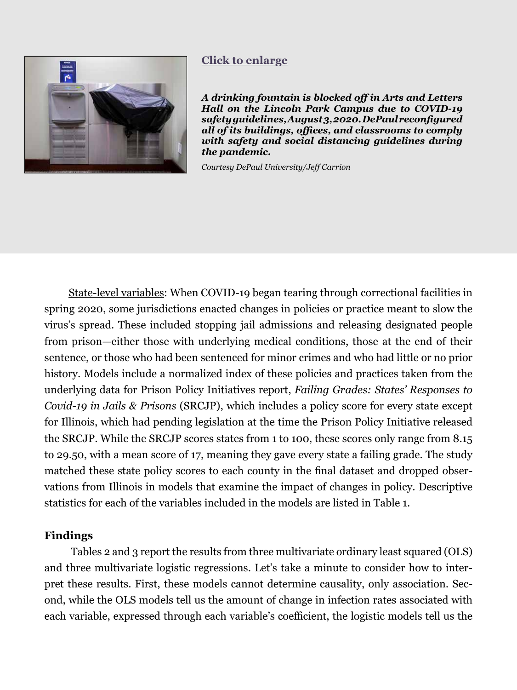<span id="page-9-0"></span>

## **[Click to enlarge](#page-24-0)**

*A drinking fountain is blocked off in Arts and Letters Hall on the Lincoln Park Campus due to COVID-19 safety guidelines, August 3, 2020. DePaul reconfigured all of its buildings, offices, and classrooms to comply with safety and social distancing guidelines during the pandemic.* 

*Courtesy DePaul University/Jeff Carrion*

State-level variables: When COVID-19 began tearing through correctional facilities in spring 2020, some jurisdictions enacted changes in policies or practice meant to slow the virus's spread. These included stopping jail admissions and releasing designated people from prison—either those with underlying medical conditions, those at the end of their sentence, or those who had been sentenced for minor crimes and who had little or no prior history. Models include a normalized index of these policies and practices taken from the underlying data for Prison Policy Initiatives report, *Failing Grades: States' Responses to Covid-19 in Jails & Prisons* (SRCJP), which includes a policy score for every state except for Illinois, which had pending legislation at the time the Prison Policy Initiative released the SRCJP. While the SRCJP scores states from 1 to 100, these scores only range from 8.15 to 29.50, with a mean score of 17, meaning they gave every state a failing grade. The study matched these state policy scores to each county in the final dataset and dropped observations from Illinois in models that examine the impact of changes in policy. Descriptive statistics for each of the variables included in the models are listed in Table 1.

#### **Findings**

 Tables 2 and 3 report the results from three multivariate ordinary least squared (OLS) and three multivariate logistic regressions. Let's take a minute to consider how to interpret these results. First, these models cannot determine causality, only association. Second, while the OLS models tell us the amount of change in infection rates associated with each variable, expressed through each variable's coefficient, the logistic models tell us the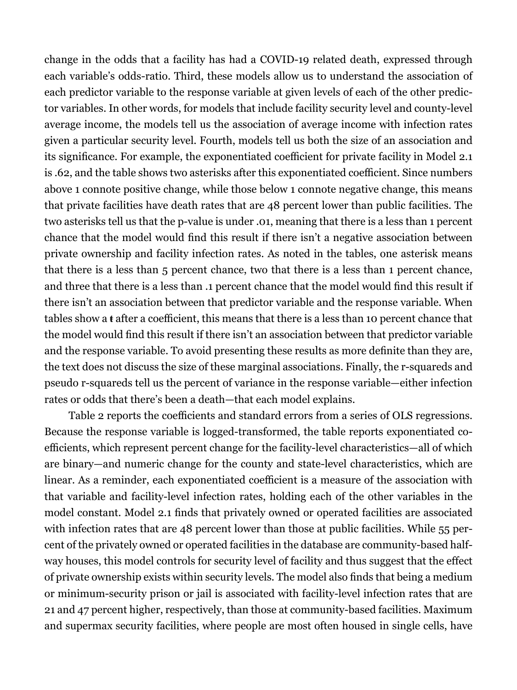change in the odds that a facility has had a COVID-19 related death, expressed through each variable's odds-ratio. Third, these models allow us to understand the association of each predictor variable to the response variable at given levels of each of the other predictor variables. In other words, for models that include facility security level and county-level average income, the models tell us the association of average income with infection rates given a particular security level. Fourth, models tell us both the size of an association and its significance. For example, the exponentiated coefficient for private facility in Model 2.1 is .62, and the table shows two asterisks after this exponentiated coefficient. Since numbers above 1 connote positive change, while those below 1 connote negative change, this means that private facilities have death rates that are 48 percent lower than public facilities. The two asterisks tell us that the p-value is under .01, meaning that there is a less than 1 percent chance that the model would find this result if there isn't a negative association between private ownership and facility infection rates. As noted in the tables, one asterisk means that there is a less than 5 percent chance, two that there is a less than 1 percent chance, and three that there is a less than .1 percent chance that the model would find this result if there isn't an association between that predictor variable and the response variable. When tables show a **ŧ** after a coefficient, this means that there is a less than 10 percent chance that the model would find this result if there isn't an association between that predictor variable and the response variable. To avoid presenting these results as more definite than they are, the text does not discuss the size of these marginal associations. Finally, the r-squareds and pseudo r-squareds tell us the percent of variance in the response variable—either infection rates or odds that there's been a death—that each model explains.

Table 2 reports the coefficients and standard errors from a series of OLS regressions. Because the response variable is logged-transformed, the table reports exponentiated coefficients, which represent percent change for the facility-level characteristics—all of which are binary—and numeric change for the county and state-level characteristics, which are linear. As a reminder, each exponentiated coefficient is a measure of the association with that variable and facility-level infection rates, holding each of the other variables in the model constant. Model 2.1 finds that privately owned or operated facilities are associated with infection rates that are 48 percent lower than those at public facilities. While 55 percent of the privately owned or operated facilities in the database are community-based halfway houses, this model controls for security level of facility and thus suggest that the effect of private ownership exists within security levels*.* The model also finds that being a medium or minimum-security prison or jail is associated with facility-level infection rates that are 21 and 47 percent higher, respectively, than those at community-based facilities. Maximum and supermax security facilities, where people are most often housed in single cells, have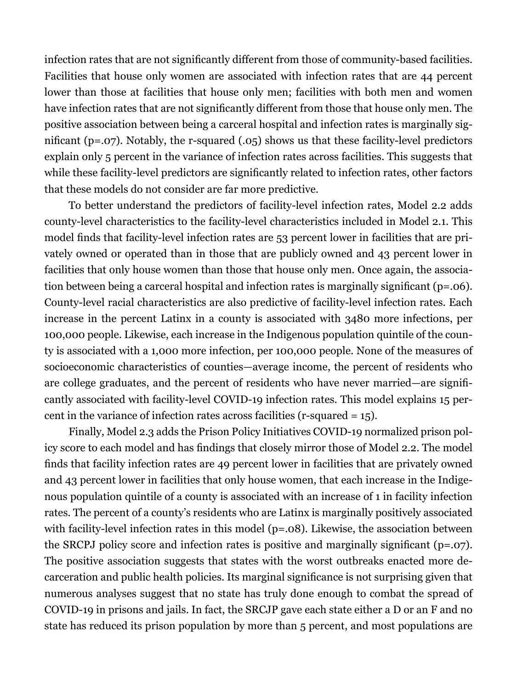infection rates that are not significantly different from those of community-based facilities. Facilities that house only women are associated with infection rates that are 44 percent lower than those at facilities that house only men; facilities with both men and women have infection rates that are not significantly different from those that house only men. The positive association between being a carceral hospital and infection rates is marginally significant (p=.07). Notably, the r-squared (.05) shows us that these facility-level predictors explain only 5 percent in the variance of infection rates across facilities. This suggests that while these facility-level predictors are significantly related to infection rates, other factors that these models do not consider are far more predictive.

To better understand the predictors of facility-level infection rates, Model 2.2 adds county-level characteristics to the facility-level characteristics included in Model 2.1. This model finds that facility-level infection rates are 53 percent lower in facilities that are privately owned or operated than in those that are publicly owned and 43 percent lower in facilities that only house women than those that house only men. Once again, the association between being a carceral hospital and infection rates is marginally significant (p=.06). County-level racial characteristics are also predictive of facility-level infection rates. Each increase in the percent Latinx in a county is associated with 3480 more infections, per 100,000 people. Likewise, each increase in the Indigenous population quintile of the county is associated with a 1,000 more infection, per 100,000 people. None of the measures of socioeconomic characteristics of counties—average income, the percent of residents who are college graduates, and the percent of residents who have never married—are significantly associated with facility-level COVID-19 infection rates. This model explains 15 percent in the variance of infection rates across facilities (r-squared = 15).

Finally, Model 2.3 adds the Prison Policy Initiatives COVID-19 normalized prison policy score to each model and has findings that closely mirror those of Model 2.2. The model finds that facility infection rates are 49 percent lower in facilities that are privately owned and 43 percent lower in facilities that only house women, that each increase in the Indigenous population quintile of a county is associated with an increase of 1 in facility infection rates. The percent of a county's residents who are Latinx is marginally positively associated with facility-level infection rates in this model (p=.08). Likewise, the association between the SRCPJ policy score and infection rates is positive and marginally significant (p=.07). The positive association suggests that states with the worst outbreaks enacted more decarceration and public health policies. Its marginal significance is not surprising given that numerous analyses suggest that no state has truly done enough to combat the spread of COVID-19 in prisons and jails. In fact, the SRCJP gave each state either a D or an F and no state has reduced its prison population by more than 5 percent, and most populations are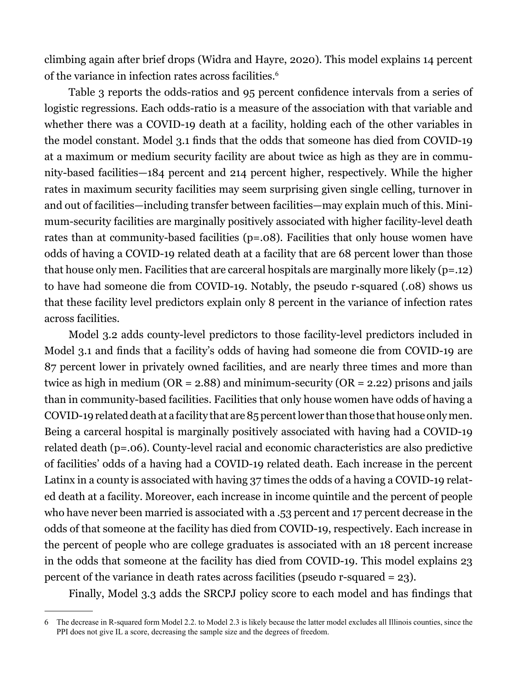climbing again after brief drops (Widra and Hayre, 2020). This model explains 14 percent of the variance in infection rates across facilities.6

Table 3 reports the odds-ratios and 95 percent confidence intervals from a series of logistic regressions. Each odds-ratio is a measure of the association with that variable and whether there was a COVID-19 death at a facility, holding each of the other variables in the model constant. Model 3.1 finds that the odds that someone has died from COVID-19 at a maximum or medium security facility are about twice as high as they are in community-based facilities—184 percent and 214 percent higher, respectively. While the higher rates in maximum security facilities may seem surprising given single celling, turnover in and out of facilities—including transfer between facilities—may explain much of this. Minimum-security facilities are marginally positively associated with higher facility-level death rates than at community-based facilities (p=.08). Facilities that only house women have odds of having a COVID-19 related death at a facility that are 68 percent lower than those that house only men. Facilities that are carceral hospitals are marginally more likely (p=.12) to have had someone die from COVID-19. Notably, the pseudo r-squared (.08) shows us that these facility level predictors explain only 8 percent in the variance of infection rates across facilities.

Model 3.2 adds county-level predictors to those facility-level predictors included in Model 3.1 and finds that a facility's odds of having had someone die from COVID-19 are 87 percent lower in privately owned facilities, and are nearly three times and more than twice as high in medium ( $OR = 2.88$ ) and minimum-security ( $OR = 2.22$ ) prisons and jails than in community-based facilities. Facilities that only house women have odds of having a COVID-19 related death at a facility that are 85 percent lower than those that house only men. Being a carceral hospital is marginally positively associated with having had a COVID-19 related death (p=.06). County-level racial and economic characteristics are also predictive of facilities' odds of a having had a COVID-19 related death. Each increase in the percent Latinx in a county is associated with having 37 times the odds of a having a COVID-19 related death at a facility. Moreover, each increase in income quintile and the percent of people who have never been married is associated with a .53 percent and 17 percent decrease in the odds of that someone at the facility has died from COVID-19, respectively. Each increase in the percent of people who are college graduates is associated with an 18 percent increase in the odds that someone at the facility has died from COVID-19. This model explains 23 percent of the variance in death rates across facilities (pseudo r-squared = 23).

Finally, Model 3.3 adds the SRCPJ policy score to each model and has findings that

<sup>6</sup> The decrease in R-squared form Model 2.2. to Model 2.3 is likely because the latter model excludes all Illinois counties, since the PPI does not give IL a score, decreasing the sample size and the degrees of freedom.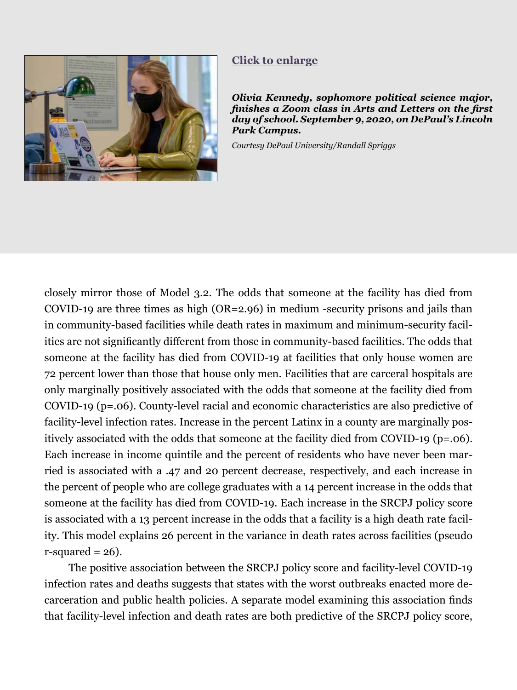<span id="page-13-0"></span>

#### **[Click to enlarge](#page-25-0)**

*Olivia Kennedy, sophomore political science major, finishes a Zoom class in Arts and Letters on the first day of school. September 9, 2020, on DePaul's Lincoln Park Campus.* 

*Courtesy DePaul University/Randall Spriggs*

closely mirror those of Model 3.2. The odds that someone at the facility has died from COVID-19 are three times as high (OR=2.96) in medium -security prisons and jails than in community-based facilities while death rates in maximum and minimum-security facilities are not significantly different from those in community-based facilities. The odds that someone at the facility has died from COVID-19 at facilities that only house women are 72 percent lower than those that house only men. Facilities that are carceral hospitals are only marginally positively associated with the odds that someone at the facility died from COVID-19 (p=.06). County-level racial and economic characteristics are also predictive of facility-level infection rates. Increase in the percent Latinx in a county are marginally positively associated with the odds that someone at the facility died from COVID-19 (p=.06). Each increase in income quintile and the percent of residents who have never been married is associated with a .47 and 20 percent decrease, respectively, and each increase in the percent of people who are college graduates with a 14 percent increase in the odds that someone at the facility has died from COVID-19. Each increase in the SRCPJ policy score is associated with a 13 percent increase in the odds that a facility is a high death rate facility. This model explains 26 percent in the variance in death rates across facilities (pseudo  $r$ -squared = 26).

The positive association between the SRCPJ policy score and facility-level COVID-19 infection rates and deaths suggests that states with the worst outbreaks enacted more decarceration and public health policies. A separate model examining this association finds that facility-level infection and death rates are both predictive of the SRCPJ policy score,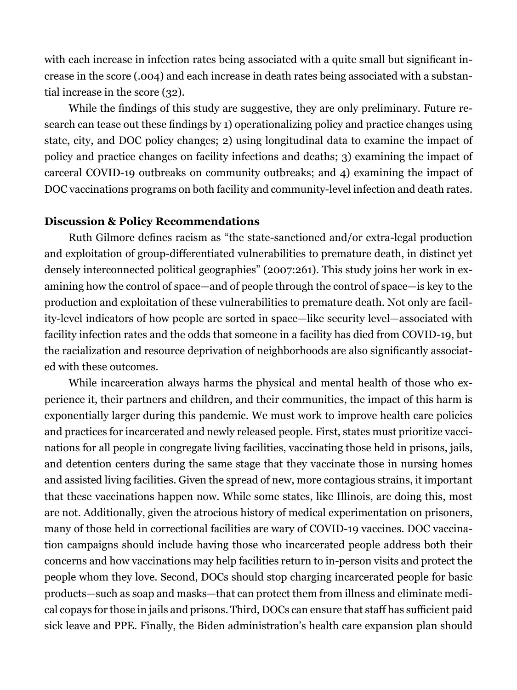with each increase in infection rates being associated with a quite small but significant increase in the score (.004) and each increase in death rates being associated with a substantial increase in the score (32).

While the findings of this study are suggestive, they are only preliminary. Future research can tease out these findings by 1) operationalizing policy and practice changes using state, city, and DOC policy changes; 2) using longitudinal data to examine the impact of policy and practice changes on facility infections and deaths; 3) examining the impact of carceral COVID-19 outbreaks on community outbreaks; and 4) examining the impact of DOC vaccinations programs on both facility and community-level infection and death rates.

#### **Discussion & Policy Recommendations**

Ruth Gilmore defines racism as "the state-sanctioned and/or extra-legal production and exploitation of group-differentiated vulnerabilities to premature death, in distinct yet densely interconnected political geographies" (2007:261). This study joins her work in examining how the control of space—and of people through the control of space—is key to the production and exploitation of these vulnerabilities to premature death. Not only are facility-level indicators of how people are sorted in space—like security level—associated with facility infection rates and the odds that someone in a facility has died from COVID-19, but the racialization and resource deprivation of neighborhoods are also significantly associated with these outcomes.

While incarceration always harms the physical and mental health of those who experience it, their partners and children, and their communities, the impact of this harm is exponentially larger during this pandemic. We must work to improve health care policies and practices for incarcerated and newly released people. First, states must prioritize vaccinations for all people in congregate living facilities, vaccinating those held in prisons, jails, and detention centers during the same stage that they vaccinate those in nursing homes and assisted living facilities. Given the spread of new, more contagious strains, it important that these vaccinations happen now. While some states, like Illinois, are doing this, most are not. Additionally, given the atrocious history of medical experimentation on prisoners, many of those held in correctional facilities are wary of COVID-19 vaccines. DOC vaccination campaigns should include having those who incarcerated people address both their concerns and how vaccinations may help facilities return to in-person visits and protect the people whom they love. Second, DOCs should stop charging incarcerated people for basic products—such as soap and masks—that can protect them from illness and eliminate medical copays for those in jails and prisons. Third, DOCs can ensure that staff has sufficient paid sick leave and PPE. Finally, the Biden administration's health care expansion plan should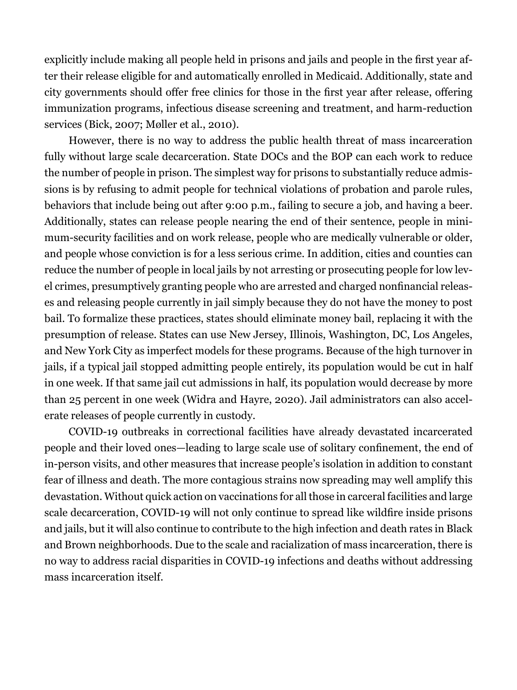explicitly include making all people held in prisons and jails and people in the first year after their release eligible for and automatically enrolled in Medicaid. Additionally, state and city governments should offer free clinics for those in the first year after release, offering immunization programs, infectious disease screening and treatment, and harm-reduction services (Bick, 2007; Møller et al., 2010).

However, there is no way to address the public health threat of mass incarceration fully without large scale decarceration. State DOCs and the BOP can each work to reduce the number of people in prison. The simplest way for prisons to substantially reduce admissions is by refusing to admit people for technical violations of probation and parole rules, behaviors that include being out after 9:00 p.m., failing to secure a job, and having a beer. Additionally, states can release people nearing the end of their sentence, people in minimum-security facilities and on work release, people who are medically vulnerable or older, and people whose conviction is for a less serious crime. In addition, cities and counties can reduce the number of people in local jails by not arresting or prosecuting people for low level crimes, presumptively granting people who are arrested and charged nonfinancial releases and releasing people currently in jail simply because they do not have the money to post bail. To formalize these practices, states should eliminate money bail, replacing it with the presumption of release. States can use New Jersey, Illinois, Washington, DC, Los Angeles, and New York City as imperfect models for these programs. Because of the high turnover in jails, if a typical jail stopped admitting people entirely, its population would be cut in half in one week. If that same jail cut admissions in half, its population would decrease by more than 25 percent in one week (Widra and Hayre, 2020). Jail administrators can also accelerate releases of people currently in custody.

COVID-19 outbreaks in correctional facilities have already devastated incarcerated people and their loved ones—leading to large scale use of solitary confinement, the end of in-person visits, and other measures that increase people's isolation in addition to constant fear of illness and death. The more contagious strains now spreading may well amplify this devastation. Without quick action on vaccinations for all those in carceral facilities and large scale decarceration, COVID-19 will not only continue to spread like wildfire inside prisons and jails, but it will also continue to contribute to the high infection and death rates in Black and Brown neighborhoods. Due to the scale and racialization of mass incarceration, there is no way to address racial disparities in COVID-19 infections and deaths without addressing mass incarceration itself.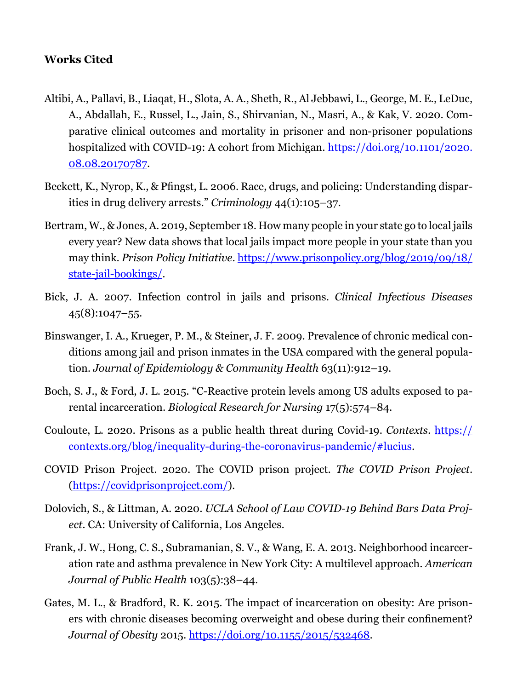#### **Works Cited**

- Altibi, A., Pallavi, B., Liaqat, H., Slota, A. A., Sheth, R., Al Jebbawi, L., George, M. E., LeDuc, A., Abdallah, E., Russel, L., Jain, S., Shirvanian, N., Masri, A., & Kak, V. 2020. Comparative clinical outcomes and mortality in prisoner and non-prisoner populations hospitalized with COVID-19: A cohort from Michigan. [https://doi.org/10.1101/2020.](https://doi.org/10.1101/2020.08.08.20170787) [08.08.20170787](https://doi.org/10.1101/2020.08.08.20170787).
- Beckett, K., Nyrop, K., & Pfingst, L. 2006. Race, drugs, and policing: Understanding disparities in drug delivery arrests." *Criminology* 44(1):105–37.
- Bertram, W., & Jones, A. 2019, September 18. How many people in your state go to local jails every year? New data shows that local jails impact more people in your state than you may think. *Prison Policy Initiative*. [https://www.prisonpolicy.org/blog/2019/09/18/](https://www.prisonpolicy.org/blog/2019/09/18/state-jail-bookings/) [state-jail-bookings/](https://www.prisonpolicy.org/blog/2019/09/18/state-jail-bookings/).
- Bick, J. A. 2007. Infection control in jails and prisons. *Clinical Infectious Diseases*  $45(8):1047-55.$
- Binswanger, I. A., Krueger, P. M., & Steiner, J. F. 2009. Prevalence of chronic medical conditions among jail and prison inmates in the USA compared with the general population. *Journal of Epidemiology & Community Health* 63(11):912–19.
- Boch, S. J., & Ford, J. L. 2015. "C-Reactive protein levels among US adults exposed to parental incarceration. *Biological Research for Nursing* 17(5):574–84.
- Couloute, L. 2020. Prisons as a public health threat during Covid-19. *Contexts*. [https://](https://contexts.org/blog/inequality-during-the-coronavirus-pandemic/#lucius) [contexts.org/blog/inequality-during-the-coronavirus-pandemic/#lucius.](https://contexts.org/blog/inequality-during-the-coronavirus-pandemic/#lucius)
- COVID Prison Project. 2020. The COVID prison project. *The COVID Prison Project*. [\(https://covidprisonproject.com/\)](https://covidprisonproject.com/).
- Dolovich, S., & Littman, A. 2020. *UCLA School of Law COVID-19 Behind Bars Data Project*. CA: University of California, Los Angeles.
- Frank, J. W., Hong, C. S., Subramanian, S. V., & Wang, E. A. 2013. Neighborhood incarceration rate and asthma prevalence in New York City: A multilevel approach. *American Journal of Public Health* 103(5):38–44.
- Gates, M. L., & Bradford, R. K. 2015. The impact of incarceration on obesity: Are prisoners with chronic diseases becoming overweight and obese during their confinement? *Journal of Obesity* 2015. <https://doi.org/10.1155/2015/532468>.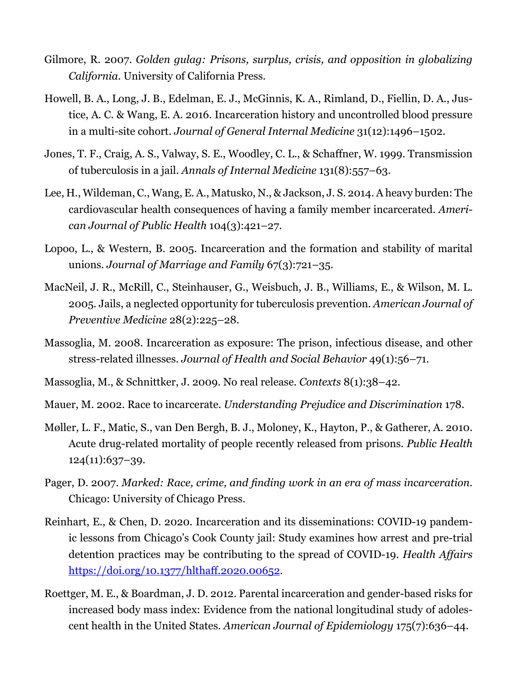- Gilmore, R. 2007. *Golden gulag: Prisons, surplus, crisis, and opposition in globalizing California*. University of California Press.
- Howell, B. A., Long, J. B., Edelman, E. J., McGinnis, K. A., Rimland, D., Fiellin, D. A., Justice, A. C. & Wang, E. A. 2016. Incarceration history and uncontrolled blood pressure in a multi-site cohort. *Journal of General Internal Medicine* 31(12):1496–1502.
- Jones, T. F., Craig, A. S., Valway, S. E., Woodley, C. L., & Schaffner, W. 1999. Transmission of tuberculosis in a jail. *Annals of Internal Medicine* 131(8):557–63.
- Lee, H., Wildeman, C., Wang, E. A., Matusko, N., & Jackson, J. S. 2014. A heavy burden: The cardiovascular health consequences of having a family member incarcerated. *American Journal of Public Health* 104(3):421–27.
- Lopoo, L., & Western, B. 2005. Incarceration and the formation and stability of marital unions. *Journal of Marriage and Family* 67(3):721–35.
- MacNeil, J. R., McRill, C., Steinhauser, G., Weisbuch, J. B., Williams, E., & Wilson, M. L. 2005. Jails, a neglected opportunity for tuberculosis prevention. *American Journal of Preventive Medicine* 28(2):225–28.
- Massoglia, M. 2008. Incarceration as exposure: The prison, infectious disease, and other stress-related illnesses. *Journal of Health and Social Behavior* 49(1):56–71.
- Massoglia, M., & Schnittker, J. 2009. No real release. *Contexts* 8(1):38–42.
- Mauer, M. 2002. Race to incarcerate. *Understanding Prejudice and Discrimination* 178.
- Møller, L. F., Matic, S., van Den Bergh, B. J., Moloney, K., Hayton, P., & Gatherer, A. 2010. Acute drug-related mortality of people recently released from prisons. *Public Health* 124(11):637–39.
- Pager, D. 2007. *Marked: Race, crime, and finding work in an era of mass incarceration*. Chicago: University of Chicago Press.
- Reinhart, E., & Chen, D. 2020. Incarceration and its disseminations: COVID-19 pandemic lessons from Chicago's Cook County jail: Study examines how arrest and pre-trial detention practices may be contributing to the spread of COVID-19. *Health Affairs* <https://doi.org/10.1377/hlthaff.2020.00652>.
- Roettger, M. E., & Boardman, J. D. 2012. Parental incarceration and gender-based risks for increased body mass index: Evidence from the national longitudinal study of adolescent health in the United States. *American Journal of Epidemiology* 175(7):636–44.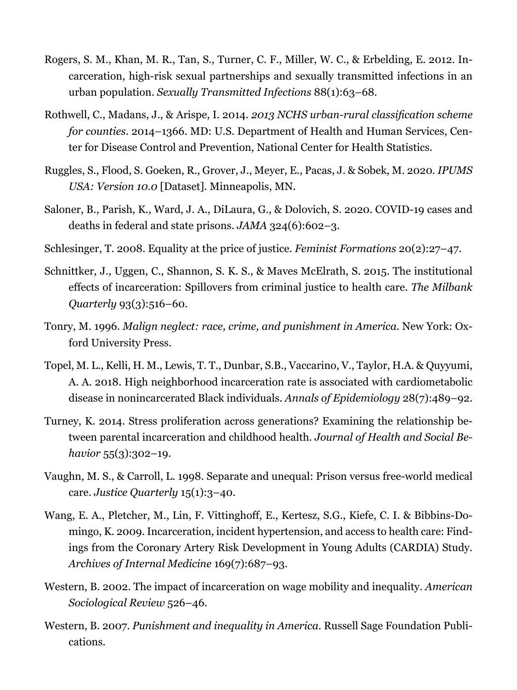- Rogers, S. M., Khan, M. R., Tan, S., Turner, C. F., Miller, W. C., & Erbelding, E. 2012. Incarceration, high-risk sexual partnerships and sexually transmitted infections in an urban population. *Sexually Transmitted Infections* 88(1):63–68.
- Rothwell, C., Madans, J., & Arispe, I. 2014. *2013 NCHS urban-rural classification scheme for counties*. 2014–1366. MD: U.S. Department of Health and Human Services, Center for Disease Control and Prevention, National Center for Health Statistics.
- Ruggles, S., Flood, S. Goeken, R., Grover, J., Meyer, E., Pacas, J. & Sobek, M. 2020. *IPUMS USA: Version 10.0* [Dataset]. Minneapolis, MN.
- Saloner, B., Parish, K., Ward, J. A., DiLaura, G., & Dolovich, S. 2020. COVID-19 cases and deaths in federal and state prisons. *JAMA* 324(6):602–3.
- Schlesinger, T. 2008. Equality at the price of justice. *Feminist Formations* 20(2):27–47.
- Schnittker, J., Uggen, C., Shannon, S. K. S., & Maves McElrath, S. 2015. The institutional effects of incarceration: Spillovers from criminal justice to health care. *The Milbank Quarterly* 93(3):516–60.
- Tonry, M. 1996. *Malign neglect: race, crime, and punishment in America*. New York: Oxford University Press.
- Topel, M. L., Kelli, H. M., Lewis, T. T., Dunbar, S.B., Vaccarino, V., Taylor, H.A. & Quyyumi, A. A. 2018. High neighborhood incarceration rate is associated with cardiometabolic disease in nonincarcerated Black individuals. *Annals of Epidemiology* 28(7):489–92.
- Turney, K. 2014. Stress proliferation across generations? Examining the relationship between parental incarceration and childhood health. *Journal of Health and Social Behavior* 55(3):302–19.
- Vaughn, M. S., & Carroll, L. 1998. Separate and unequal: Prison versus free-world medical care. *Justice Quarterly* 15(1):3–40.
- Wang, E. A., Pletcher, M., Lin, F. Vittinghoff, E., Kertesz, S.G., Kiefe, C. I. & Bibbins-Domingo, K. 2009. Incarceration, incident hypertension, and access to health care: Findings from the Coronary Artery Risk Development in Young Adults (CARDIA) Study. *Archives of Internal Medicine* 169(7):687–93.
- Western, B. 2002. The impact of incarceration on wage mobility and inequality. *American Sociological Review* 526–46.
- Western, B. 2007. *Punishment and inequality in America*. Russell Sage Foundation Publications.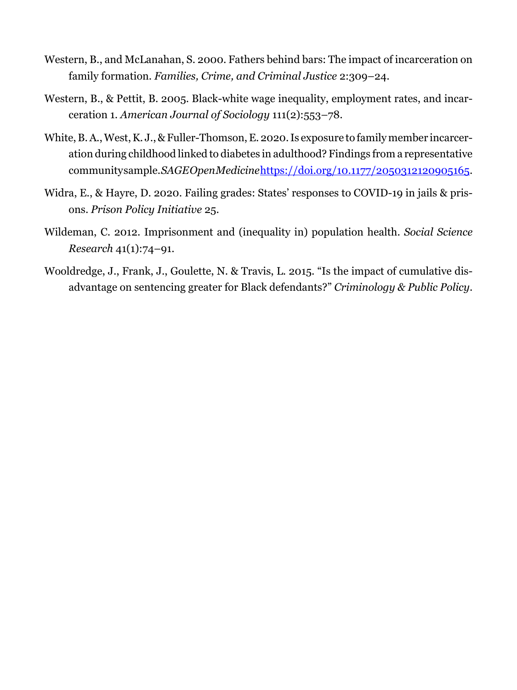- Western, B., and McLanahan, S. 2000. Fathers behind bars: The impact of incarceration on family formation. *Families, Crime, and Criminal Justice* 2:309–24.
- Western, B., & Pettit, B. 2005. Black-white wage inequality, employment rates, and incarceration 1. *American Journal of Sociology* 111(2):553–78.
- White, B. A., West, K. J., & Fuller-Thomson, E. 2020. Is exposure to family member incarceration during childhood linked to diabetes in adulthood? Findings from a representative community sample. *SAGE Open Medicine*[https://doi.org/10.1177/2050312120905165.](https://doi.org/10.1177/2050312120905165)
- Widra, E., & Hayre, D. 2020. Failing grades: States' responses to COVID-19 in jails & prisons. *Prison Policy Initiative* 25.
- Wildeman, C. 2012. Imprisonment and (inequality in) population health. *Social Science Research* 41(1):74–91.
- Wooldredge, J., Frank, J., Goulette, N. & Travis, L. 2015. "Is the impact of cumulative disadvantage on sentencing greater for Black defendants?" *Criminology & Public Policy*.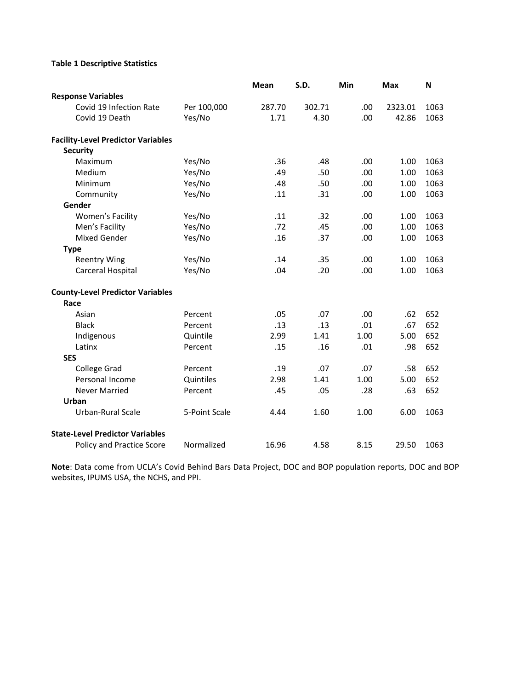#### **Table 1 Descriptive Statistics**

|                                           |               | <b>Mean</b> | S.D.   | Min  | <b>Max</b> | N    |
|-------------------------------------------|---------------|-------------|--------|------|------------|------|
| <b>Response Variables</b>                 |               |             |        |      |            |      |
| Covid 19 Infection Rate                   | Per 100,000   | 287.70      | 302.71 | .00. | 2323.01    | 1063 |
| Covid 19 Death                            | Yes/No        | 1.71        | 4.30   | .00  | 42.86      | 1063 |
| <b>Facility-Level Predictor Variables</b> |               |             |        |      |            |      |
| <b>Security</b>                           |               |             |        |      |            |      |
| Maximum                                   | Yes/No        | .36         | .48    | .00  | 1.00       | 1063 |
| Medium                                    | Yes/No        | .49         | .50    | .00  | 1.00       | 1063 |
| Minimum                                   | Yes/No        | .48         | .50    | .00  | 1.00       | 1063 |
| Community                                 | Yes/No        | .11         | .31    | .00  | 1.00       | 1063 |
| Gender                                    |               |             |        |      |            |      |
| <b>Women's Facility</b>                   | Yes/No        | .11         | .32    | .00  | 1.00       | 1063 |
| Men's Facility                            | Yes/No        | .72         | .45    | .00  | 1.00       | 1063 |
| <b>Mixed Gender</b>                       | Yes/No        | .16         | .37    | .00  | 1.00       | 1063 |
| <b>Type</b>                               |               |             |        |      |            |      |
| <b>Reentry Wing</b>                       | Yes/No        | .14         | .35    | .00  | 1.00       | 1063 |
| Carceral Hospital                         | Yes/No        | .04         | .20    | .00  | 1.00       | 1063 |
| <b>County-Level Predictor Variables</b>   |               |             |        |      |            |      |
| Race                                      |               |             |        |      |            |      |
| Asian                                     | Percent       | .05         | .07    | .00  | .62        | 652  |
| <b>Black</b>                              | Percent       | .13         | .13    | .01  | .67        | 652  |
| Indigenous                                | Quintile      | 2.99        | 1.41   | 1.00 | 5.00       | 652  |
| Latinx                                    | Percent       | .15         | .16    | .01  | .98        | 652  |
| <b>SES</b>                                |               |             |        |      |            |      |
| <b>College Grad</b>                       | Percent       | .19         | .07    | .07  | .58        | 652  |
| Personal Income                           | Quintiles     | 2.98        | 1.41   | 1.00 | 5.00       | 652  |
| <b>Never Married</b>                      | Percent       | .45         | .05    | .28  | .63        | 652  |
| <b>Urban</b>                              |               |             |        |      |            |      |
| <b>Urban-Rural Scale</b>                  | 5-Point Scale | 4.44        | 1.60   | 1.00 | 6.00       | 1063 |
| <b>State-Level Predictor Variables</b>    |               |             |        |      |            |      |
| <b>Policy and Practice Score</b>          | Normalized    | 16.96       | 4.58   | 8.15 | 29.50      | 1063 |

**Note**: Data come from UCLA's Covid Behind Bars Data Project, DOC and BOP population reports, DOC and BOP websites, IPUMS USA, the NCHS, and PPI.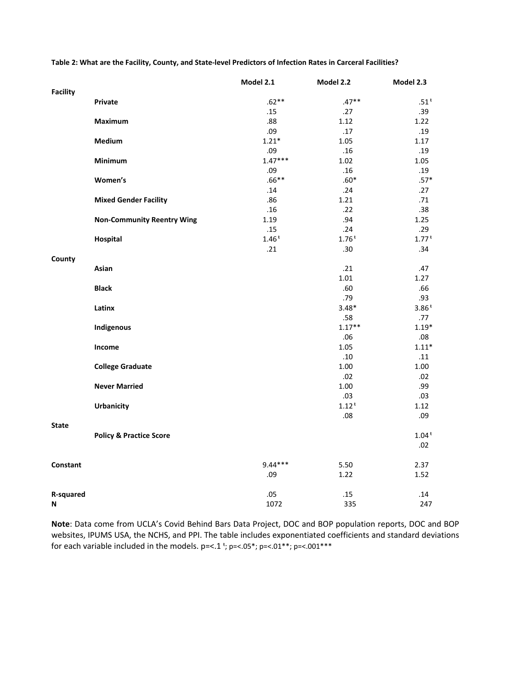Table 2: What are the Facility, County, and State-level Predictors of Infection Rates in Carceral Facilities?

|                 |                                    | Model 2.1 | Model 2.2 | Model 2.3          |
|-----------------|------------------------------------|-----------|-----------|--------------------|
| <b>Facility</b> |                                    |           |           |                    |
|                 | Private                            | $.62**$   | $.47**$   | $.51$ <sup>t</sup> |
|                 |                                    | .15       | .27       | .39                |
|                 | <b>Maximum</b>                     | .88       | 1.12      | 1.22               |
|                 |                                    | .09       | .17       | .19                |
|                 | Medium                             | $1.21*$   | 1.05      | 1.17               |
|                 |                                    | .09       | .16       | .19                |
|                 | Minimum                            | $1.47***$ | 1.02      | 1.05               |
|                 |                                    | .09       | .16       | .19                |
|                 | Women's                            | $.66***$  | $.60*$    | $.57*$             |
|                 |                                    | .14       | .24       | .27                |
|                 | <b>Mixed Gender Facility</b>       | .86       | 1.21      | .71                |
|                 |                                    | .16       | .22       | .38                |
|                 | <b>Non-Community Reentry Wing</b>  | 1.19      | .94       | 1.25               |
|                 |                                    | .15       | .24       | .29                |
|                 | <b>Hospital</b>                    | $1.46*$   | $1.76*$   | $1.77*$            |
| County          |                                    | .21       | .30       | .34                |
|                 | Asian                              |           | .21       | .47                |
|                 |                                    |           | 1.01      | 1.27               |
|                 | <b>Black</b>                       |           | .60       | .66                |
|                 |                                    |           | .79       | .93                |
|                 | Latinx                             |           | $3.48*$   | $3.86*$            |
|                 |                                    |           | .58       | .77                |
|                 | Indigenous                         |           | $1.17**$  | $1.19*$            |
|                 |                                    |           | .06       | .08                |
|                 | Income                             |           | 1.05      | $1.11*$            |
|                 |                                    |           | .10       | .11                |
|                 | <b>College Graduate</b>            |           | 1.00      | 1.00               |
|                 |                                    |           | .02       | .02                |
|                 | <b>Never Married</b>               |           | 1.00      | .99                |
|                 |                                    |           | .03       | .03                |
|                 | <b>Urbanicity</b>                  |           | $1.12*$   | 1.12               |
|                 |                                    |           | .08       | .09                |
| <b>State</b>    |                                    |           |           |                    |
|                 | <b>Policy &amp; Practice Score</b> |           |           | $1.04*$            |
|                 |                                    |           |           | .02                |
| <b>Constant</b> |                                    | $9.44***$ | 5.50      | 2.37               |
|                 |                                    | .09       | 1.22      | 1.52               |
|                 |                                    |           |           |                    |
| R-squared       |                                    | .05       | .15       | .14                |
| N               |                                    | 1072      | 335       | 247                |

**Note**: Data come from UCLA's Covid Behind Bars Data Project, DOC and BOP population reports, DOC and BOP websites, IPUMS USA, the NCHS, and PPI. The table includes exponentiated coefficients and standard deviations for each variable included in the models.  $p=<.1$ <sup>t</sup>;  $p=<.05$ \*;  $p=<.01$ \*\*;  $p=<.001$ \*\*\*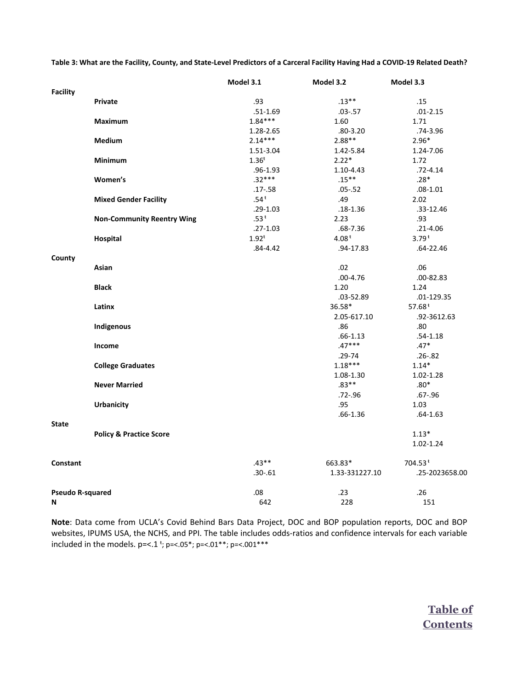Table 3: What are the Facility, County, and State-Level Predictors of a Carceral Facility Having Had a COVID-19 Related Death?

|                         |                                    | Model 3.1          | Model 3.2      | Model 3.3      |
|-------------------------|------------------------------------|--------------------|----------------|----------------|
| <b>Facility</b>         |                                    |                    |                |                |
|                         | <b>Private</b>                     | .93                | $.13**$        | .15            |
|                         |                                    | $.51 - 1.69$       | $.03 - .57$    | $.01 - 2.15$   |
|                         | <b>Maximum</b>                     | $1.84***$          | 1.60           | 1.71           |
|                         |                                    | 1.28-2.65          | $.80 - 3.20$   | $.74 - 3.96$   |
|                         | <b>Medium</b>                      | $2.14***$          | $2.88**$       | $2.96*$        |
|                         |                                    | 1.51-3.04          | 1.42-5.84      | 1.24-7.06      |
|                         | <b>Minimum</b>                     | $1.36^{t}$         | $2.22*$        | 1.72           |
|                         |                                    | $.96 - 1.93$       | 1.10-4.43      | $.72 - 4.14$   |
|                         | Women's                            | $.32***$           | $.15***$       | $.28*$         |
|                         |                                    | $.17 - .58$        | $.05 - .52$    | $.08 - 1.01$   |
|                         | <b>Mixed Gender Facility</b>       | $.54$ <sup>t</sup> | .49            | 2.02           |
|                         |                                    | $.29 - 1.03$       | $.18 - 1.36$   | .33-12.46      |
|                         | <b>Non-Community Reentry Wing</b>  | $.53*$             | 2.23           | .93            |
|                         |                                    | $.27 - 1.03$       | $.68 - 7.36$   | $.21 - 4.06$   |
|                         | Hospital                           | $1.92^t$           | $4.08*$        | $3.79*$        |
|                         |                                    | $.84 - 4.42$       | .94-17.83      | $.64 - 22.46$  |
| County                  | Asian                              |                    | .02            | .06            |
|                         |                                    |                    | $.00 - 4.76$   | $.00 - 82.83$  |
|                         | <b>Black</b>                       |                    | 1.20           | 1.24           |
|                         |                                    |                    | $.03 - 52.89$  | $.01 - 129.35$ |
|                         | Latinx                             |                    | 36.58*         | $57.68*$       |
|                         |                                    |                    | 2.05-617.10    | .92-3612.63    |
|                         | Indigenous                         |                    | .86            | .80            |
|                         |                                    |                    | $.66 - 1.13$   | $.54 - 1.18$   |
|                         | Income                             |                    | $.47***$       | $.47*$         |
|                         |                                    |                    | $.29 - 74$     | $.26 - .82$    |
|                         | <b>College Graduates</b>           |                    | $1.18***$      | $1.14*$        |
|                         |                                    |                    | 1.08-1.30      | $1.02 - 1.28$  |
|                         | <b>Never Married</b>               |                    | $.83**$        | $.80*$         |
|                         |                                    |                    | $.72 - .96$    | $.67 - .96$    |
|                         | <b>Urbanicity</b>                  |                    | .95            | 1.03           |
|                         |                                    |                    | $.66 - 1.36$   | $.64 - 1.63$   |
| <b>State</b>            | <b>Policy &amp; Practice Score</b> |                    |                | $1.13*$        |
|                         |                                    |                    |                | $1.02 - 1.24$  |
| <b>Constant</b>         |                                    | $.43**$            | 663.83*        | $704.53*$      |
|                         |                                    | $.30 - .61$        | 1.33-331227.10 | .25-2023658.00 |
| <b>Pseudo R-squared</b> |                                    | .08                | .23            | .26            |
| N                       |                                    | 642                | 228            | 151            |

**Note**: Data come from UCLA's Covid Behind Bars Data Project, DOC and BOP population reports, DOC and BOP websites, IPUMS USA, the NCHS, and PPI. The table includes odds‐ratios and confidence intervals for each variable included in the models.  $p=<1$ <sup>\*</sup>;  $p=<05$ <sup>\*</sup>;  $p=<01$ <sup>\*\*</sup>;  $p=<001$ <sup>\*\*\*</sup>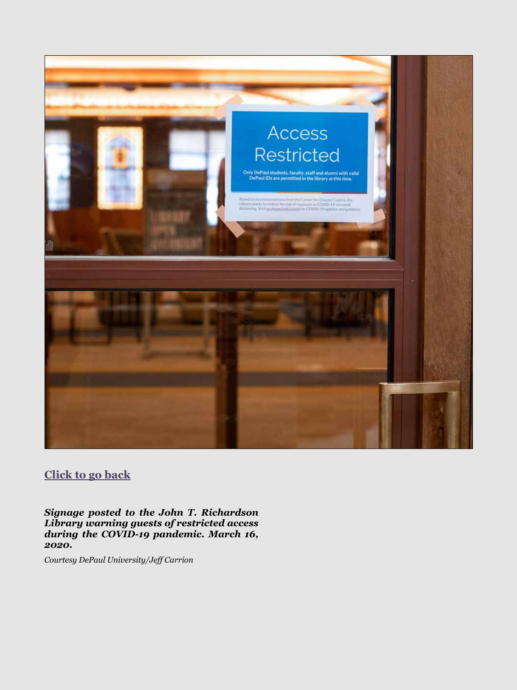<span id="page-23-0"></span>

## **[Click to go back](#page-5-0)**

*Signage posted to the John T. Richardson Library warning guests of restricted access during the COVID-19 pandemic. March 16, 2020.*

*Courtesy DePaul University/Jeff Carrion*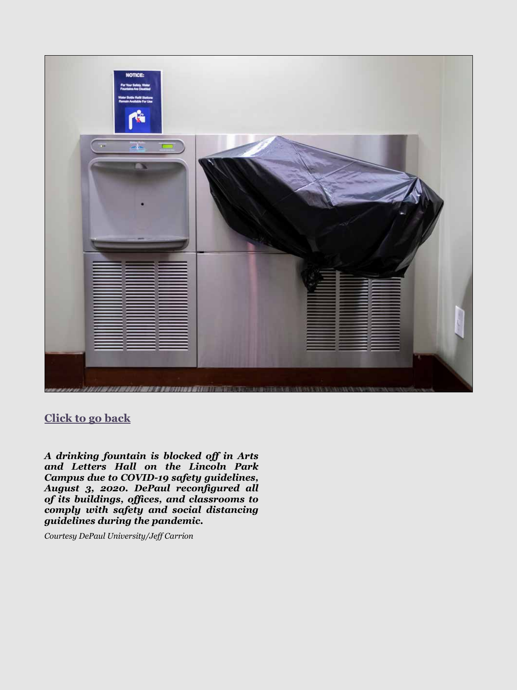<span id="page-24-0"></span>

**[Click to go back](#page-9-0)**

*A drinking fountain is blocked off in Arts and Letters Hall on the Lincoln Park Campus due to COVID-19 safety guidelines, August 3, 2020. DePaul reconfigured all of its buildings, offices, and classrooms to comply with safety and social distancing guidelines during the pandemic.* 

*Courtesy DePaul University/Jeff Carrion*